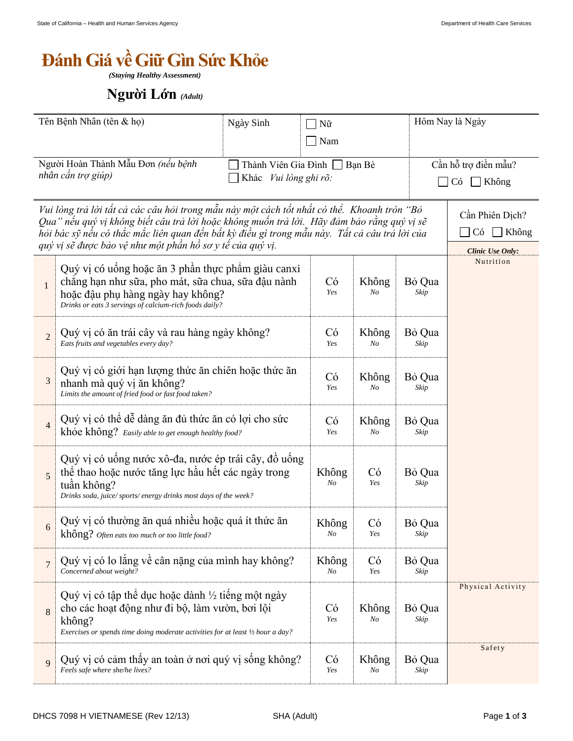## *<u>Bánh Giá về Giữ Gìn Sức Khỏe</u>*

*(Staying Healthy Assessment)*

## *(Adult)*

| Tên Bệnh Nhân (tên & họ)                                                                                                                                                                                                                                                                                                                                 |                                                                                                                                                                                                             | Ngày Sinh                                              | Nữ          |                |                   | Hôm Nay là Ngày                                           |  |
|----------------------------------------------------------------------------------------------------------------------------------------------------------------------------------------------------------------------------------------------------------------------------------------------------------------------------------------------------------|-------------------------------------------------------------------------------------------------------------------------------------------------------------------------------------------------------------|--------------------------------------------------------|-------------|----------------|-------------------|-----------------------------------------------------------|--|
|                                                                                                                                                                                                                                                                                                                                                          |                                                                                                                                                                                                             | Nam                                                    |             |                |                   |                                                           |  |
| Người Hoàn Thành Mẫu Đơn (nếu bệnh<br>nhân cần trợ giúp)                                                                                                                                                                                                                                                                                                 |                                                                                                                                                                                                             | Thành Viên Gia Đình<br>Bạn Bè<br>Khác Vui lòng ghi rõ: |             |                |                   | Cần hỗ trợ điền mẫu?<br>Có<br>Không<br>$\Box$             |  |
| Vui lòng trả lời tất cả các câu hỏi trong mẫu này một cách tốt nhất có thể. Khoanh tròn "Bỏ<br>Qua" nếu quý vị không biết câu trả lời hoặc không muốn trả lời. Hãy đảm bảo rằng quý vị sẽ<br>hỏi bác sỹ nếu có thắc mắc liên quan đến bất kỳ điều gì trong mẫu này.  Tất cả câu trả lời của<br>quý vị sẽ được bảo vệ như một phần hồ sơ y tế của quý vị. |                                                                                                                                                                                                             |                                                        |             |                |                   | Cần Phiên Dịch?<br>Không<br>Có<br><b>Clinic Use Only:</b> |  |
| $\mathbf{1}$                                                                                                                                                                                                                                                                                                                                             | Quý vị có uống hoặc ăn 3 phần thực phẩm giàu canxi<br>chẳng hạn như sữa, pho mát, sữa chua, sữa đậu nành<br>hoặc đậu phụ hàng ngày hay không?<br>Drinks or eats 3 servings of calcium-rich foods daily?     |                                                        |             | Không<br>No    | Bỏ Qua<br>Skip    | Nutrition                                                 |  |
| $\overline{2}$                                                                                                                                                                                                                                                                                                                                           | Quý vị có ăn trái cây và rau hàng ngày không?<br>Eats fruits and vegetables every day?                                                                                                                      |                                                        |             | Không<br>No    | Bỏ Qua<br>Skip    |                                                           |  |
| 3                                                                                                                                                                                                                                                                                                                                                        | Quý vị có giới hạn lượng thức ăn chiến hoặc thức ăn<br>nhanh mà quý vị ăn không?<br>Limits the amount of fried food or fast food taken?                                                                     |                                                        |             | Không<br>No    | Bỏ Qua<br>Skip    |                                                           |  |
| $\overline{4}$                                                                                                                                                                                                                                                                                                                                           | Quý vị có thể dễ dàng ăn đủ thức ăn có lợi cho sức<br>khỏe không? Easily able to get enough healthy food?                                                                                                   | Có<br>Yes                                              | Không<br>No | Bỏ Qua<br>Skip |                   |                                                           |  |
| 5                                                                                                                                                                                                                                                                                                                                                        | Quý vị có uống nước xô-đa, nước ép trái cây, đồ uống<br>thể thao hoặc nước tăng lực hầu hết các ngày trong<br>tuần không?<br>Drinks soda, juice/sports/energy drinks most days of the week?                 |                                                        |             | Có<br>Yes      | Bỏ Qua<br>Skip    |                                                           |  |
| 6                                                                                                                                                                                                                                                                                                                                                        | Quý vị có thường ăn quá nhiều hoặc quá ít thức ăn<br>không? Often eats too much or too little food?                                                                                                         | Không<br>No                                            | Có<br>Yes   | Bỏ Qua<br>Skip |                   |                                                           |  |
| $\overline{7}$                                                                                                                                                                                                                                                                                                                                           | Quý vị có lo lắng về cân nặng của mình hay không?<br>Concerned about weight?                                                                                                                                | Không<br>No                                            | Có<br>Yes   | Bỏ Qua<br>Skip |                   |                                                           |  |
| 8                                                                                                                                                                                                                                                                                                                                                        | Quý vị có tập thể dục hoặc dành $\frac{1}{2}$ tiếng một ngày<br>cho các hoạt động như đi bộ, làm vườn, bơi lội<br>không?<br>Exercises or spends time doing moderate activities for at least 1/2 hour a day? | Có<br>Yes                                              | Không<br>No | Bỏ Qua<br>Skip | Physical Activity |                                                           |  |
| 9                                                                                                                                                                                                                                                                                                                                                        | Quý vị có cảm thấy an toàn ở nơi quý vị sống không?<br>Feels safe where she/he lives?                                                                                                                       | Có<br>Yes                                              | Không<br>No | Bỏ Qua<br>Skip | Safety            |                                                           |  |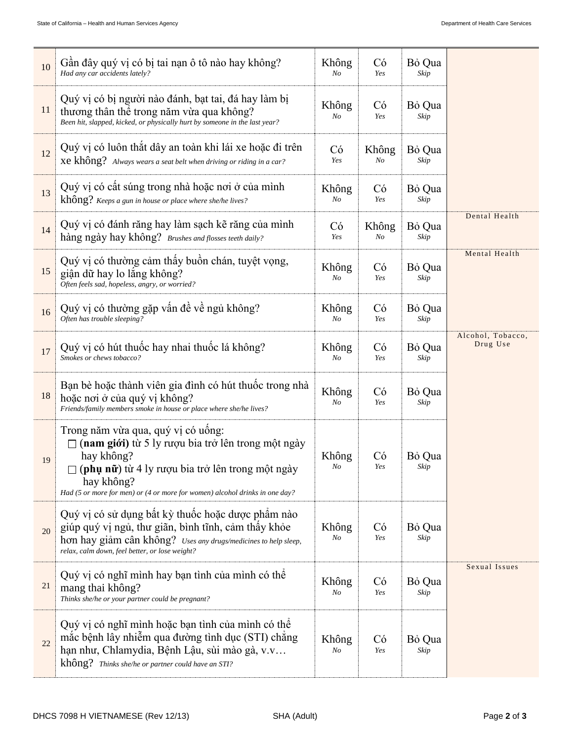| 10 | Gần đây quý vị có bị tai nan ô tô nào hay không?<br>Had any car accidents lately?                                                                                                                                                                              | Không<br>No             | Có<br>Yes        | Bỏ Qua<br>Skip |                               |
|----|----------------------------------------------------------------------------------------------------------------------------------------------------------------------------------------------------------------------------------------------------------------|-------------------------|------------------|----------------|-------------------------------|
| 11 | Quý vị có bị người nào đánh, bạt tai, đá hay làm bị<br>thương thân thể trong năm vừa qua không?<br>Been hit, slapped, kicked, or physically hurt by someone in the last year?                                                                                  | Không<br>No             | Có<br>Yes        | Bỏ Qua<br>Skip |                               |
| 12 | Quý vị có luôn thắt dây an toàn khi lái xe hoặc đi trên<br>Xe không? Always wears a seat belt when driving or riding in a car?                                                                                                                                 |                         | Không<br>No      | Bỏ Qua<br>Skip |                               |
| 13 | Quý vị có cất súng trong nhà hoặc nơi ở của mình<br>không? Keeps a gun in house or place where she/he lives?                                                                                                                                                   |                         | Có<br>Yes        | Bỏ Qua<br>Skip |                               |
| 14 | Quý vị có đánh răng hay làm sạch kẽ răng của mình<br>hàng ngày hay không? Brushes and flosses teeth daily?                                                                                                                                                     |                         | Không<br>$N_{O}$ | Bỏ Qua<br>Skip | Dental Health                 |
| 15 | Quý vị có thường cảm thấy buồn chán, tuyệt vọng,<br>giận dữ hay lo lắng không?<br>Often feels sad, hopeless, angry, or worried?                                                                                                                                |                         | Có<br>Yes        | Bỏ Qua<br>Skip | Mental Health                 |
| 16 | Quý vị có thường gặp vấn đề về ngủ không?<br>Often has trouble sleeping?                                                                                                                                                                                       |                         | Có<br>Yes        | Bỏ Qua<br>Skip |                               |
| 17 | Quý vị có hút thuốc hay nhai thuốc lá không?<br>Smokes or chews tobacco?                                                                                                                                                                                       | Không<br>No             | Có<br>Yes        | Bỏ Qua<br>Skip | Alcohol, Tobacco,<br>Drug Use |
| 18 | Bạn bè hoặc thành viên gia đình có hút thuộc trong nhà<br>hoặc nơi ở của quý vị không?<br>Friends/family members smoke in house or place where she/he lives?                                                                                                   | Không<br>No             | Có<br>Yes        | Bỏ Qua<br>Skip |                               |
| 19 | Trong năm vừa qua, quý vị có uống:<br>$\Box$ (nam giới) từ 5 ly rượu bia trở lên trong một ngày<br>hay không?<br>(phụ nữ) từ 4 ly rượu bia trở lên trong một ngày<br>hay không?<br>Had (5 or more for men) or (4 or more for women) alcohol drinks in one day? | Không<br>No             | Có<br>Yes        | Bỏ Qua<br>Skip |                               |
| 20 | Quý vị có sử dụng bất kỳ thuốc hoặc dược phẩm nào<br>giúp quý vị ngủ, thư giãn, bình tĩnh, cảm thây khỏe<br>hon hay giảm cân không? Uses any drugs/medicines to help sleep,<br>relax, calm down, feel better, or lose weight?                                  | Không<br>No             | Có<br>Yes        | Bỏ Qua<br>Skip |                               |
| 21 | Quý vị có nghĩ mình hay bạn tình của mình có thể<br>mang thai không?<br>Thinks she/he or your partner could be pregnant?                                                                                                                                       | Không<br>N <sub>O</sub> | Có<br>Yes        | Bỏ Qua<br>Skip | Sexual Issues                 |
| 22 | Quý vị có nghĩ mình hoặc bạn tình của mình có thể<br>mắc bệnh lây nhiễm qua đường tình dục (STI) chẳng<br>hạn như, Chlamydia, Bệnh Lậu, sùi mào gà, v.v<br>không? Thinks she/he or partner could have an STI?                                                  | Không<br>No             | Có<br>Yes        | Bỏ Qua<br>Skip |                               |